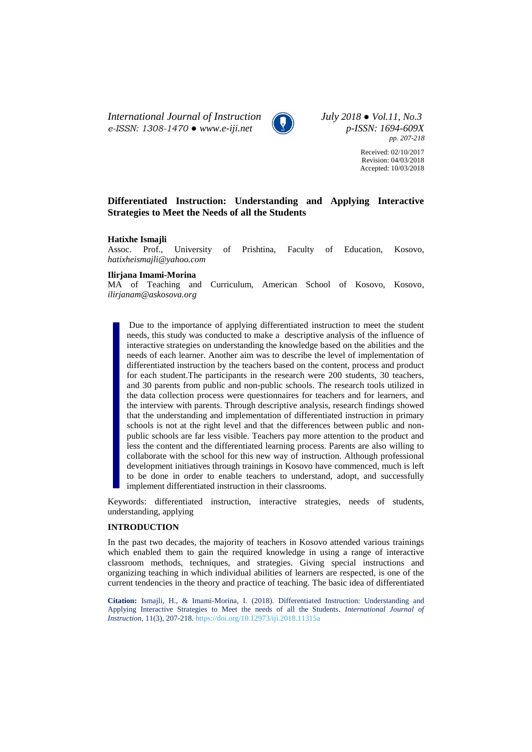*International Journal of Instruction July 2018 ● Vol.11, No.3 e-ISSN: 1308-1470 ● [www.e-iji.net](http://www.e-iji.net/) p-ISSN: 1694-609X*



*pp. 207-218*

Received: 02/10/2017 Revision: 04/03/2018 Accepted: 10/03/2018

# **Differentiated Instruction: Understanding and Applying Interactive Strategies to Meet the Needs of all the Students**

# **Hatixhe Ismajli**

Assoc. Prof., University of Prishtina, Faculty of Education, Kosovo, *hatixheismajli@yahoo.com*

#### **Ilirjana Imami-Morina**

MA of Teaching and Curriculum, American School of Kosovo, Kosovo, *ilirjanam@askosova.org*

Due to the importance of applying differentiated instruction to meet the student needs, this study was conducted to make a descriptive analysis of the influence of interactive strategies on understanding the knowledge based on the abilities and the needs of each learner. Another aim was to describe the level of implementation of differentiated instruction by the teachers based on the content, process and product for each student.The participants in the research were 200 students, 30 teachers, and 30 parents from public and non-public schools. The research tools utilized in the data collection process were questionnaires for teachers and for learners, and the interview with parents. Through descriptive analysis, research findings showed that the understanding and implementation of differentiated instruction in primary schools is not at the right level and that the differences between public and nonpublic schools are far less visible. Teachers pay more attention to the product and less the content and the differentiated learning process. Parents are also willing to collaborate with the school for this new way of instruction. Although professional development initiatives through trainings in Kosovo have commenced, much is left to be done in order to enable teachers to understand, adopt, and successfully implement differentiated instruction in their classrooms.

Keywords: differentiated instruction, interactive strategies, needs of students, understanding, applying

#### **INTRODUCTION**

In the past two decades, the majority of teachers in Kosovo attended various trainings which enabled them to gain the required knowledge in using a range of interactive classroom methods, techniques, and strategies. Giving special instructions and organizing teaching in which individual abilities of learners are respected, is one of the current tendencies in the theory and practice of teaching. The basic idea of differentiated

**Citation:** Ismajli, H., & Imami-Morina, I. (2018). Differentiated Instruction: Understanding and Applying Interactive Strategies to Meet the needs of all the Students. *International Journal of Instruction*, 11(3), 207-218. <https://doi.org/10.12973/iji.2018.11315a>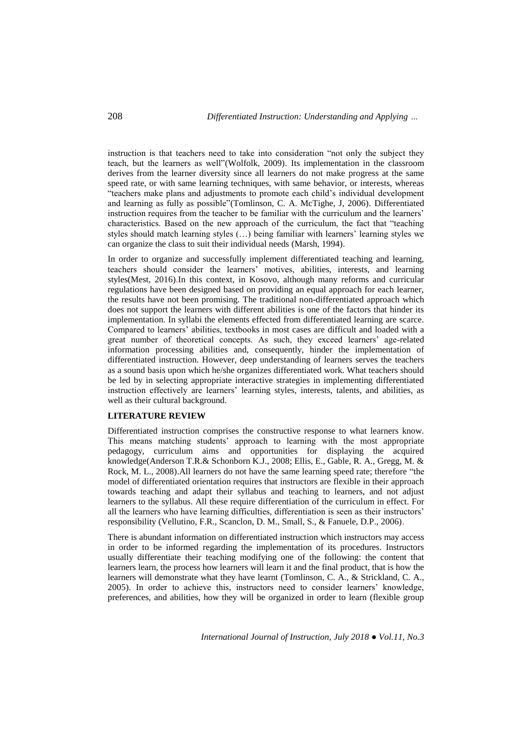instruction is that teachers need to take into consideration "not only the subject they teach, but the learners as well"(Wolfolk, 2009). Its implementation in the classroom derives from the learner diversity since all learners do not make progress at the same speed rate, or with same learning techniques, with same behavior, or interests, whereas "teachers make plans and adjustments to promote each child's individual development and learning as fully as possible"(Tomlinson, C. A. McTighe, J, 2006). Differentiated instruction requires from the teacher to be familiar with the curriculum and the learners' characteristics. Based on the new approach of the curriculum, the fact that "teaching styles should match learning styles  $(\ldots)$  being familiar with learners' learning styles we can organize the class to suit their individual needs (Marsh, 1994).

In order to organize and successfully implement differentiated teaching and learning, teachers should consider the learners' motives, abilities, interests, and learning styles(Mest, 2016).In this context, in Kosovo, although many reforms and curricular regulations have been designed based on providing an equal approach for each learner, the results have not been promising. The traditional non-differentiated approach which does not support the learners with different abilities is one of the factors that hinder its implementation. In syllabi the elements effected from differentiated learning are scarce. Compared to learners' abilities, textbooks in most cases are difficult and loaded with a great number of theoretical concepts. As such, they exceed learners' age-related information processing abilities and, consequently, hinder the implementation of differentiated instruction. However, deep understanding of learners serves the teachers as a sound basis upon which he/she organizes differentiated work. What teachers should be led by in selecting appropriate interactive strategies in implementing differentiated instruction effectively are learners' learning styles, interests, talents, and abilities, as well as their cultural background.

# **LITERATURE REVIEW**

Differentiated instruction comprises the constructive response to what learners know. This means matching students' approach to learning with the most appropriate pedagogy, curriculum aims and opportunities for displaying the acquired knowledge(Anderson T.R.& Schonborn K.J., 2008; Ellis, E., Gable, R. A., Gregg, M. & Rock, M. L., 2008).All learners do not have the same learning speed rate; therefore "the model of differentiated orientation requires that instructors are flexible in their approach towards teaching and adapt their syllabus and teaching to learners, and not adjust learners to the syllabus. All these require differentiation of the curriculum in effect. For all the learners who have learning difficulties, differentiation is seen as their instructors' responsibility (Vellutino, F.R., Scanclon, D. M., Small, S., & Fanuele, D.P., 2006).

There is abundant information on differentiated instruction which instructors may access in order to be informed regarding the implementation of its procedures. Instructors usually differentiate their teaching modifying one of the following: the content that learners learn, the process how learners will learn it and the final product, that is how the learners will demonstrate what they have learnt (Tomlinson, C. A., & Strickland, C. A., 2005). In order to achieve this, instructors need to consider learners' knowledge, preferences, and abilities, how they will be organized in order to learn (flexible group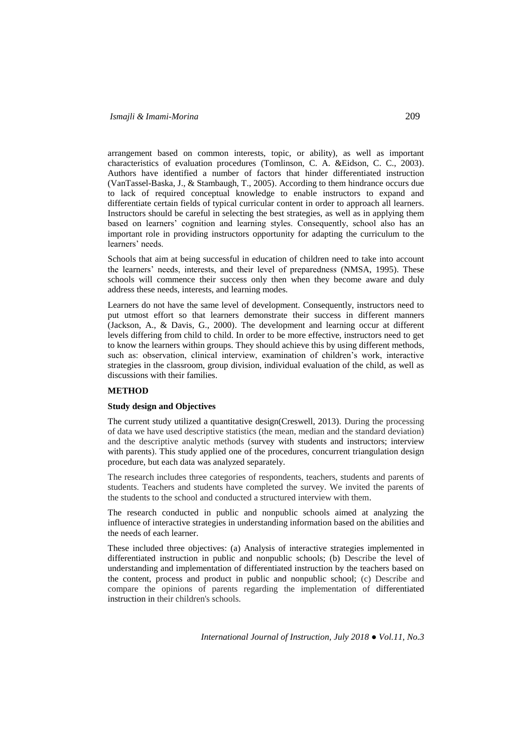arrangement based on common interests, topic, or ability), as well as important characteristics of evaluation procedures (Tomlinson, C. A. &Eidson, C. C., 2003). Authors have identified a number of factors that hinder differentiated instruction (VanTassel-Baska, J., & Stambaugh, T., 2005). According to them hindrance occurs due to lack of required conceptual knowledge to enable instructors to expand and differentiate certain fields of typical curricular content in order to approach all learners. Instructors should be careful in selecting the best strategies, as well as in applying them based on learners' cognition and learning styles. Consequently, school also has an important role in providing instructors opportunity for adapting the curriculum to the learners' needs.

Schools that aim at being successful in education of children need to take into account the learners' needs, interests, and their level of preparedness (NMSA, 1995). These schools will commence their success only then when they become aware and duly address these needs, interests, and learning modes.

Learners do not have the same level of development. Consequently, instructors need to put utmost effort so that learners demonstrate their success in different manners (Jackson, A., & Davis, G., 2000). The development and learning occur at different levels differing from child to child. In order to be more effective, instructors need to get to know the learners within groups. They should achieve this by using different methods, such as: observation, clinical interview, examination of children's work, interactive strategies in the classroom, group division, individual evaluation of the child, as well as discussions with their families.

#### **METHOD**

# **Study design and Objectives**

The current study utilized a quantitative design(Creswell, 2013). During the processing of data we have used descriptive statistics (the mean, median and the standard deviation) and the descriptive analytic methods (survey with students and instructors; interview with parents). This study applied one of the procedures, concurrent triangulation design procedure, but each data was analyzed separately.

The research includes three categories of respondents, teachers, students and parents of students. Teachers and students have completed the survey. We invited the parents of the students to the school and conducted a structured interview with them.

The research conducted in public and nonpublic schools aimed at analyzing the influence of interactive strategies in understanding information based on the abilities and the needs of each learner.

These included three objectives: (a) Analysis of interactive strategies implemented in differentiated instruction in public and nonpublic schools; (b) Describe the level of understanding and implementation of differentiated instruction by the teachers based on the content, process and product in public and nonpublic school; (c) Describe and compare the opinions of parents regarding the implementation of differentiated instruction in their children's schools.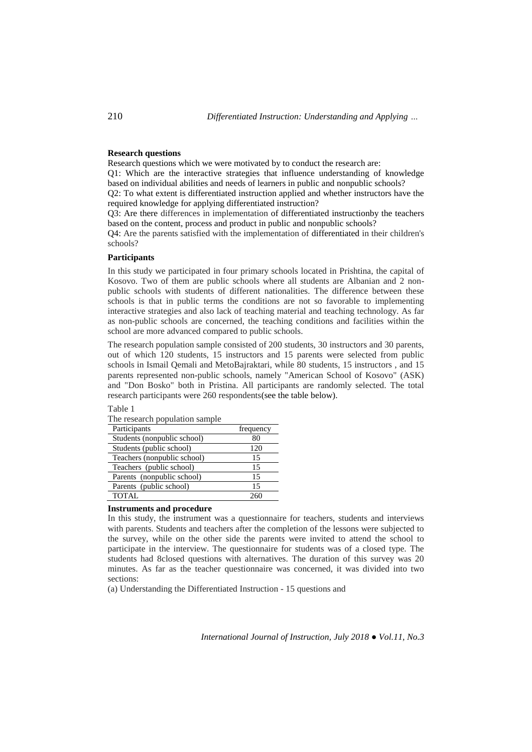# **Research questions**

Research questions which we were motivated by to conduct the research are:

Q1: Which are the interactive strategies that influence understanding of knowledge based on individual abilities and needs of learners in public and nonpublic schools?

Q2: To what extent is differentiated instruction applied and whether instructors have the required knowledge for applying differentiated instruction?

Q3: Are there differences in implementation of differentiated instructionby the teachers based on the content, process and product in public and nonpublic schools?

Q4: Are the parents satisfied with the implementation of differentiated in their children's schools?

#### **Participants**

In this study we participated in four primary schools located in Prishtina, the capital of Kosovo. Two of them are public schools where all students are Albanian and 2 nonpublic schools with students of different nationalities. The difference between these schools is that in public terms the conditions are not so favorable to implementing interactive strategies and also lack of teaching material and teaching technology. As far as non-public schools are concerned, the teaching conditions and facilities within the school are more advanced compared to public schools.

The research population sample consisted of 200 students, 30 instructors and 30 parents, out of which 120 students, 15 instructors and 15 parents were selected from public schools in Ismail Qemali and MetoBajraktari, while 80 students, 15 instructors , and 15 parents represented non-public schools, namely "American School of Kosovo" (ASK) and "Don Bosko" both in Pristina. All participants are randomly selected. The total research participants were 260 respondents(see the table below).

#### Table 1

| frequency |
|-----------|
| 80        |
| 120       |
| 15        |
| 15        |
| 15        |
| 15        |
|           |
|           |

The research population sample

#### **Instruments and procedure**

In this study, the instrument was a questionnaire for teachers, students and interviews with parents. Students and teachers after the completion of the lessons were subjected to the survey, while on the other side the parents were invited to attend the school to participate in the interview. The questionnaire for students was of a closed type. The students had 8closed questions with alternatives. The duration of this survey was 20 minutes. As far as the teacher questionnaire was concerned, it was divided into two sections:

(a) Understanding the Differentiated Instruction - 15 questions and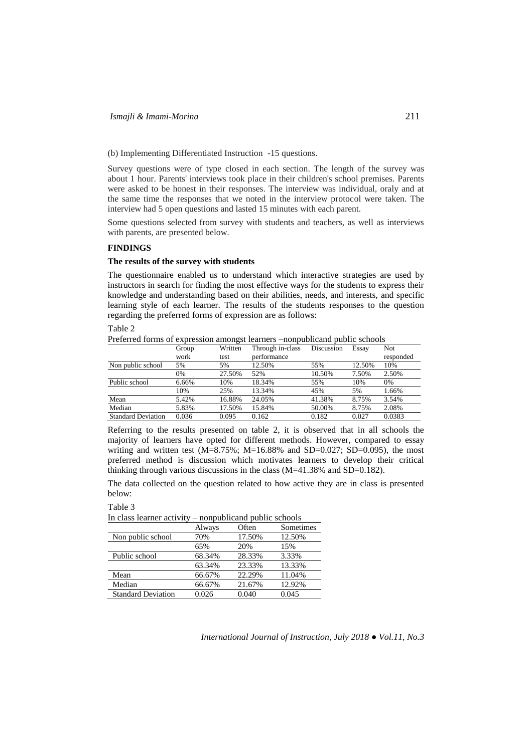# (b) Implementing Differentiated Instruction -15 questions.

Survey questions were of type closed in each section. The length of the survey was about 1 hour. Parents' interviews took place in their children's school premises. Parents were asked to be honest in their responses. The interview was individual, oraly and at the same time the responses that we noted in the interview protocol were taken. The interview had 5 open questions and lasted 15 minutes with each parent.

Some questions selected from survey with students and teachers, as well as interviews with parents, are presented below.

# **FINDINGS**

# **The results of the survey with students**

The questionnaire enabled us to understand which interactive strategies are used by instructors in search for finding the most effective ways for the students to express their knowledge and understanding based on their abilities, needs, and interests, and specific learning style of each learner. The results of the students responses to the question regarding the preferred forms of expression are as follows:

Table 2

Preferred forms of expression amongst learners –nonpublicand public schools Group Written Through in-class Discussion Essay Not

|                           | Group | Written | Through in-class | Discussion | Essay  | Not       |
|---------------------------|-------|---------|------------------|------------|--------|-----------|
|                           | work  | test    | performance      |            |        | responded |
| Non public school         | 5%    | 5%      | 12.50%           | 55%        | 12.50% | 10%       |
|                           | 0%    | 27.50%  | 52%              | 10.50%     | 7.50%  | 2.50%     |
| Public school             | 6.66% | 10%     | 18.34%           | 55%        | 10%    | 0%        |
|                           | 10%   | 25%     | 13.34%           | 45%        | 5%     | 1.66%     |
| Mean                      | 5.42% | 16.88%  | 24.05%           | 41.38%     | 8.75%  | 3.54%     |
| Median                    | 5.83% | 17.50%  | 15.84%           | 50.00%     | 8.75%  | 2.08%     |
| <b>Standard Deviation</b> | 0.036 | 0.095   | 0.162            | 0.182      | 0.027  | 0.0383    |

Referring to the results presented on table 2, it is observed that in all schools the majority of learners have opted for different methods. However, compared to essay writing and written test (M=8.75%; M=16.88% and SD=0.027; SD=0.095), the most preferred method is discussion which motivates learners to develop their critical thinking through various discussions in the class (M=41.38% and SD=0.182).

The data collected on the question related to how active they are in class is presented below:

#### Table 3

In class learner activity – nonpublicand public schools

|                           | Always | Often  | Sometimes |
|---------------------------|--------|--------|-----------|
| Non public school         | 70%    | 17.50% | 12.50%    |
|                           | 65%    | 20%    | 15%       |
| Public school             | 68.34% | 28.33% | 3.33%     |
|                           | 63.34% | 23.33% | 13.33%    |
| Mean                      | 66.67% | 22.29% | 11.04%    |
| Median                    | 66.67% | 21.67% | 12.92%    |
| <b>Standard Deviation</b> | 0.026  | 0.040  | 0.045     |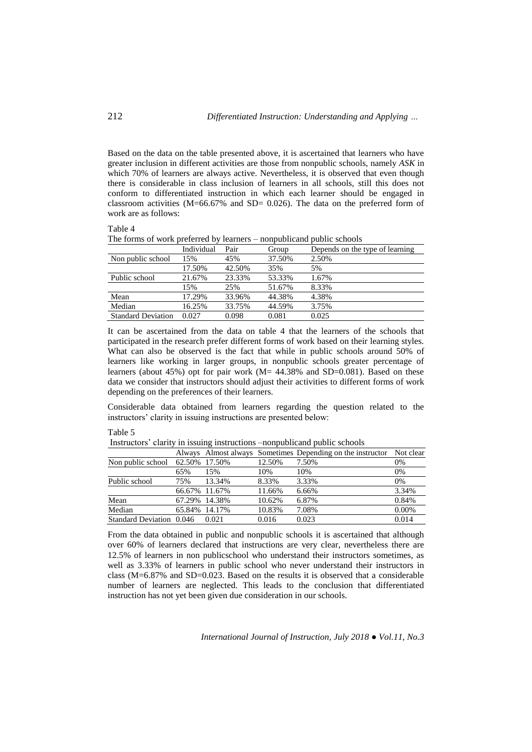Based on the data on the table presented above, it is ascertained that learners who have greater inclusion in different activities are those from nonpublic schools, namely *ASK* in which 70% of learners are always active. Nevertheless, it is observed that even though there is considerable in class inclusion of learners in all schools, still this does not conform to differentiated instruction in which each learner should be engaged in classroom activities  $(M=66.67\%$  and SD= 0.026). The data on the preferred form of work are as follows:

## Table 4

The forms of work preferred by learners – nonpublicand public schools

|                           | Individual | Pair   | Group  | Depends on the type of learning |
|---------------------------|------------|--------|--------|---------------------------------|
| Non public school         | 15%        | 45%    | 37.50% | 2.50%                           |
|                           | 17.50%     | 42.50% | 35%    | 5%                              |
| Public school             | 21.67%     | 23.33% | 53.33% | 1.67%                           |
|                           | 15%        | 25%    | 51.67% | 8.33%                           |
| Mean                      | 17.29%     | 33.96% | 44.38% | 4.38%                           |
| Median                    | 16.25%     | 33.75% | 44.59% | 3.75%                           |
| <b>Standard Deviation</b> | 0.027      | 0.098  | 0.081  | 0.025                           |

It can be ascertained from the data on table 4 that the learners of the schools that participated in the research prefer different forms of work based on their learning styles. What can also be observed is the fact that while in public schools around 50% of learners like working in larger groups, in nonpublic schools greater percentage of learners (about 45%) opt for pair work (M= 44.38% and SD=0.081). Based on these data we consider that instructors should adjust their activities to different forms of work depending on the preferences of their learners.

Considerable data obtained from learners regarding the question related to the instructors' clarity in issuing instructions are presented below:

#### Table 5

Instructors' clarity in issuing instructions –nonpublicand public schools

|                          |               |               |        | Always Almost always Sometimes Depending on the instructor Not clear |       |
|--------------------------|---------------|---------------|--------|----------------------------------------------------------------------|-------|
| Non public school        | 62.50% 17.50% |               | 12.50% | 7.50%                                                                | 0%    |
|                          | 65%           | 15%           | 10%    | 10%                                                                  | 0%    |
| Public school            | 75%           | 13.34%        | 8.33%  | 3.33%                                                                | 0%    |
|                          |               | 66.67% 11.67% | 11.66% | 6.66%                                                                | 3.34% |
| Mean                     |               | 67.29% 14.38% | 10.62% | 6.87%                                                                | 0.84% |
| Median                   |               | 65.84% 14.17% | 10.83% | 7.08%                                                                | 0.00% |
| Standard Deviation 0.046 |               | 0.021         | 0.016  | 0.023                                                                | 0.014 |

From the data obtained in public and nonpublic schools it is ascertained that although over 60% of learners declared that instructions are very clear, nevertheless there are 12.5% of learners in non publicschool who understand their instructors sometimes, as well as 3.33% of learners in public school who never understand their instructors in class (M=6.87% and SD=0.023. Based on the results it is observed that a considerable number of learners are neglected. This leads to the conclusion that differentiated instruction has not yet been given due consideration in our schools.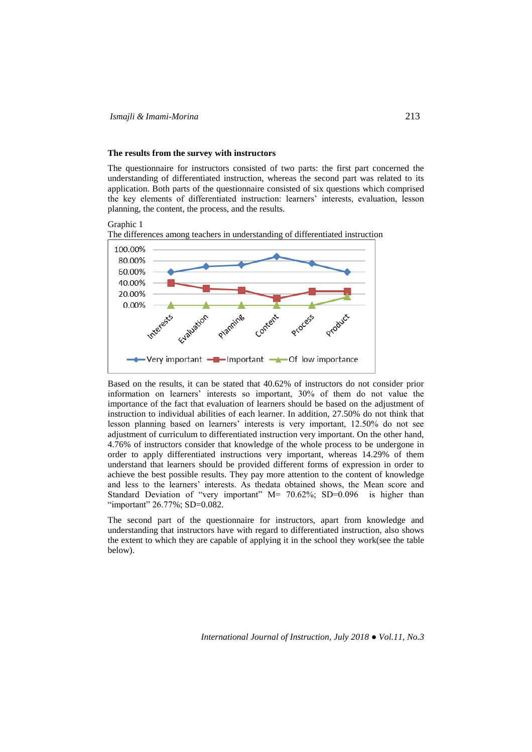#### **The results from the survey with instructors**

The questionnaire for instructors consisted of two parts: the first part concerned the understanding of differentiated instruction, whereas the second part was related to its application. Both parts of the questionnaire consisted of six questions which comprised the key elements of differentiated instruction: learners' interests, evaluation, lesson planning, the content, the process, and the results.

# Graphic 1

The differences among teachers in understanding of differentiated instruction



Based on the results, it can be stated that 40.62% of instructors do not consider prior information on learners' interests so important, 30% of them do not value the importance of the fact that evaluation of learners should be based on the adjustment of instruction to individual abilities of each learner. In addition, 27.50% do not think that lesson planning based on learners' interests is very important, 12.50% do not see adjustment of curriculum to differentiated instruction very important. On the other hand, 4.76% of instructors consider that knowledge of the whole process to be undergone in order to apply differentiated instructions very important, whereas 14.29% of them understand that learners should be provided different forms of expression in order to achieve the best possible results. They pay more attention to the content of knowledge and less to the learners' interests. As thedata obtained shows, the Mean score and Standard Deviation of "very important" M= 70.62%; SD=0.096 is higher than "important" 26.77%; SD=0.082.

The second part of the questionnaire for instructors, apart from knowledge and understanding that instructors have with regard to differentiated instruction, also shows the extent to which they are capable of applying it in the school they work(see the table below).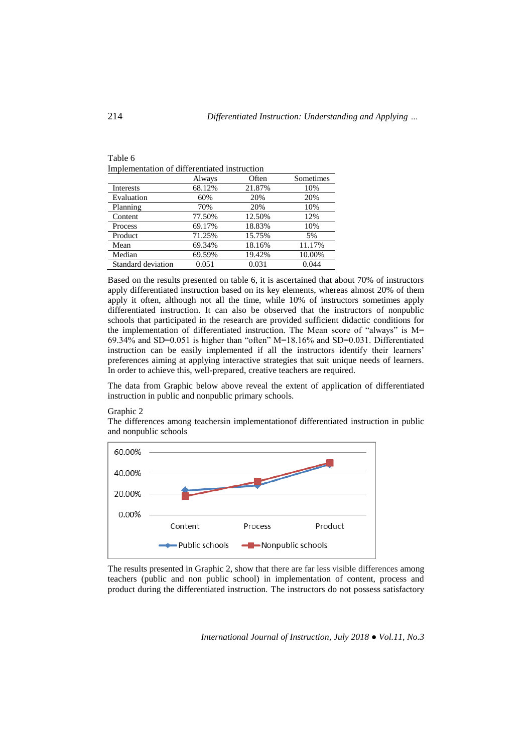| Table 6                                      |        |       |
|----------------------------------------------|--------|-------|
| Implementation of differentiated instruction |        |       |
|                                              | Always | Often |

|                    | Always | Often  | Sometimes |
|--------------------|--------|--------|-----------|
| <b>Interests</b>   | 68.12% | 21.87% | 10%       |
| Evaluation         | 60%    | 20%    | 20%       |
| Planning           | 70%    | 20%    | 10%       |
| Content            | 77.50% | 12.50% | 12%       |
| Process            | 69.17% | 18.83% | 10%       |
| Product            | 71.25% | 15.75% | 5%        |
| Mean               | 69.34% | 18.16% | 11.17%    |
| Median             | 69.59% | 19.42% | 10.00%    |
| Standard deviation | 0.051  | 0.031  | 0.044     |

Based on the results presented on table 6, it is ascertained that about 70% of instructors apply differentiated instruction based on its key elements, whereas almost 20% of them apply it often, although not all the time, while 10% of instructors sometimes apply differentiated instruction. It can also be observed that the instructors of nonpublic schools that participated in the research are provided sufficient didactic conditions for the implementation of differentiated instruction. The Mean score of "always" is M= 69.34% and SD=0.051 is higher than "often" M=18.16% and SD=0.031. Differentiated instruction can be easily implemented if all the instructors identify their learners' preferences aiming at applying interactive strategies that suit unique needs of learners. In order to achieve this, well-prepared, creative teachers are required.

The data from Graphic below above reveal the extent of application of differentiated instruction in public and nonpublic primary schools.

Graphic 2

The differences among teachersin implementationof differentiated instruction in public and nonpublic schools



The results presented in Graphic 2, show that there are far less visible differences among teachers (public and non public school) in implementation of content, process and product during the differentiated instruction. The instructors do not possess satisfactory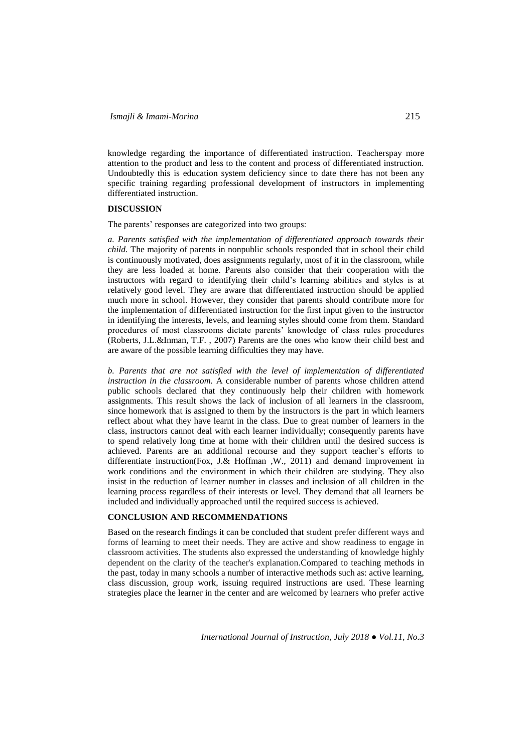knowledge regarding the importance of differentiated instruction. Teacherspay more attention to the product and less to the content and process of differentiated instruction. Undoubtedly this is education system deficiency since to date there has not been any specific training regarding professional development of instructors in implementing differentiated instruction.

#### **DISCUSSION**

The parents' responses are categorized into two groups:

*a. Parents satisfied with the implementation of differentiated approach towards their child.* The majority of parents in nonpublic schools responded that in school their child is continuously motivated, does assignments regularly, most of it in the classroom, while they are less loaded at home. Parents also consider that their cooperation with the instructors with regard to identifying their child's learning abilities and styles is at relatively good level. They are aware that differentiated instruction should be applied much more in school. However, they consider that parents should contribute more for the implementation of differentiated instruction for the first input given to the instructor in identifying the interests, levels, and learning styles should come from them. Standard procedures of most classrooms dictate parents' knowledge of class rules procedures (Roberts, J.L.&Inman, T.F. , 2007) Parents are the ones who know their child best and are aware of the possible learning difficulties they may have.

*b. Parents that are not satisfied with the level of implementation of differentiated instruction in the classroom.* A considerable number of parents whose children attend public schools declared that they continuously help their children with homework assignments. This result shows the lack of inclusion of all learners in the classroom, since homework that is assigned to them by the instructors is the part in which learners reflect about what they have learnt in the class. Due to great number of learners in the class, instructors cannot deal with each learner individually; consequently parents have to spend relatively long time at home with their children until the desired success is achieved. Parents are an additional recourse and they support teacher`s efforts to differentiate instruction(Fox, J.& Hoffman ,W., 2011) and demand improvement in work conditions and the environment in which their children are studying. They also insist in the reduction of learner number in classes and inclusion of all children in the learning process regardless of their interests or level. They demand that all learners be included and individually approached until the required success is achieved.

# **CONCLUSION AND RECOMMENDATIONS**

Based on the research findings it can be concluded that student prefer different ways and forms of learning to meet their needs. They are active and show readiness to engage in classroom activities. The students also expressed the understanding of knowledge highly dependent on the clarity of the teacher's explanation.Compared to teaching methods in the past, today in many schools a number of interactive methods such as: active learning, class discussion, group work, issuing required instructions are used. These learning strategies place the learner in the center and are welcomed by learners who prefer active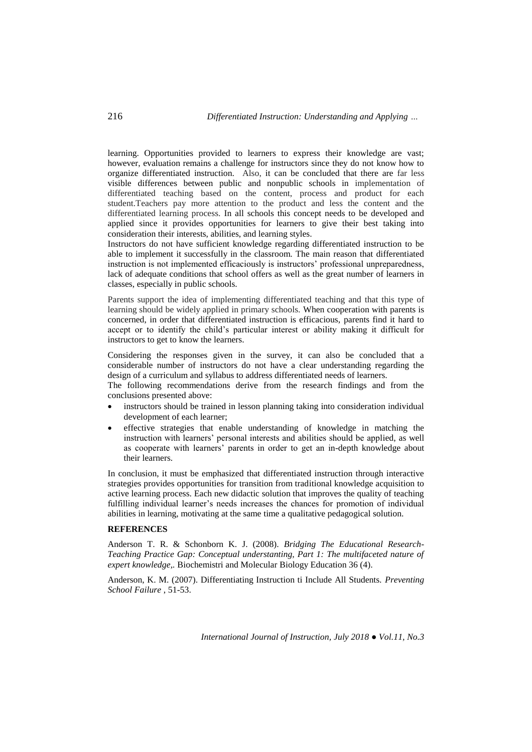learning. Opportunities provided to learners to express their knowledge are vast; however, evaluation remains a challenge for instructors since they do not know how to organize differentiated instruction. Also, it can be concluded that there are far less visible differences between public and nonpublic schools in implementation of differentiated teaching based on the content, process and product for each student.Teachers pay more attention to the product and less the content and the differentiated learning process. In all schools this concept needs to be developed and applied since it provides opportunities for learners to give their best taking into consideration their interests, abilities, and learning styles.

Instructors do not have sufficient knowledge regarding differentiated instruction to be able to implement it successfully in the classroom. The main reason that differentiated instruction is not implemented efficaciously is instructors' professional unpreparedness, lack of adequate conditions that school offers as well as the great number of learners in classes, especially in public schools.

Parents support the idea of implementing differentiated teaching and that this type of learning should be widely applied in primary schools. When cooperation with parents is concerned, in order that differentiated instruction is efficacious, parents find it hard to accept or to identify the child's particular interest or ability making it difficult for instructors to get to know the learners.

Considering the responses given in the survey, it can also be concluded that a considerable number of instructors do not have a clear understanding regarding the design of a curriculum and syllabus to address differentiated needs of learners.

The following recommendations derive from the research findings and from the conclusions presented above:

- instructors should be trained in lesson planning taking into consideration individual development of each learner;
- effective strategies that enable understanding of knowledge in matching the instruction with learners' personal interests and abilities should be applied, as well as cooperate with learners' parents in order to get an in-depth knowledge about their learners.

In conclusion, it must be emphasized that differentiated instruction through interactive strategies provides opportunities for transition from traditional knowledge acquisition to active learning process. Each new didactic solution that improves the quality of teaching fulfilling individual learner's needs increases the chances for promotion of individual abilities in learning, motivating at the same time a qualitative pedagogical solution.

# **REFERENCES**

Anderson T. R. & Schonborn K. J. (2008). *Bridging The Educational Research-Teaching Practice Gap: Conceptual understanting, Part 1: The multifaceted nature of expert knowledge,.* Biochemistri and Molecular Biology Education 36 (4).

Anderson, K. M. (2007). Differentiating Instruction ti Include All Students. *Preventing School Failure* , 51-53.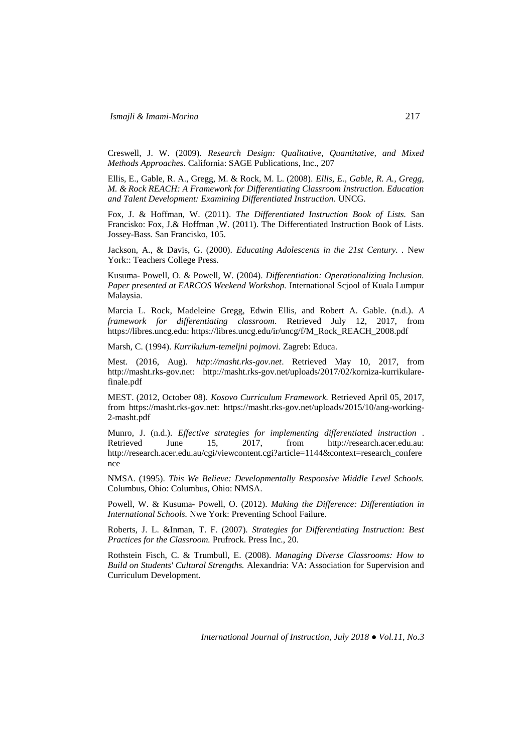Creswell, J. W. (2009). *Research Design: Qualitative, Quantitative, and Mixed Methods Approaches*. California: SAGE Publications, Inc., 207

Ellis, E., Gable, R. A., Gregg, M. & Rock, M. L. (2008). *Ellis, E., Gable, R. A., Gregg, M. & Rock REACH: A Framework for Differentiating Classroom Instruction. Education and Talent Development: Examining Differentiated Instruction.* UNCG.

Fox, J. & Hoffman, W. (2011). *The Differentiated Instruction Book of Lists.* San Francisko: Fox, J.& Hoffman ,W. (2011). The Differentiated Instruction Book of Lists. Jossey-Bass. San Francisko, 105.

Jackson, A., & Davis, G. (2000). *Educating Adolescents in the 21st Century. .* New York:: Teachers College Press.

Kusuma- Powell, O. & Powell, W. (2004). *Differentiation: Operationalizing Inclusion. Paper presented at EARCOS Weekend Workshop.* International Scjool of Kuala Lumpur Malaysia.

Marcia L. Rock, Madeleine Gregg, Edwin Ellis, and Robert A. Gable. (n.d.). *A framework for differentiating classroom*. Retrieved July 12, 2017, from https://libres.uncg.edu: https://libres.uncg.edu/ir/uncg/f/M\_Rock\_REACH\_2008.pdf

Marsh, C. (1994). *Kurrikulum-temeljni pojmovi.* Zagreb: Educa.

Mest. (2016, Aug). *http://masht.rks-gov.net*. Retrieved May 10, 2017, from http://masht.rks-gov.net: http://masht.rks-gov.net/uploads/2017/02/korniza-kurrikularefinale.pdf

MEST. (2012, October 08). *Kosovo Curriculum Framework.* Retrieved April 05, 2017, from https://masht.rks-gov.net: https://masht.rks-gov.net/uploads/2015/10/ang-working-2-masht.pdf

Munro, J. (n.d.). *Effective strategies for implementing differentiated instruction* . Retrieved June 15, 2017, from http://research.acer.edu.au: http://research.acer.edu.au/cgi/viewcontent.cgi?article=1144&context=research\_confere nce

NMSA. (1995). *This We Believe: Developmentally Responsive Middle Level Schools.* Columbus, Ohio: Columbus, Ohio: NMSA.

Powell, W. & Kusuma- Powell, O. (2012). *Making the Difference: Differentiation in International Schools.* Nwe York: Preventing School Failure.

Roberts, J. L. &Inman, T. F. (2007). *Strategies for Differentiating Instruction: Best Practices for the Classroom.* Prufrock. Press Inc., 20.

Rothstein Fisch, C. & Trumbull, E. (2008). *Managing Diverse Classrooms: How to Build on Students' Cultural Strengths.* Alexandria: VA: Association for Supervision and Curriculum Development.